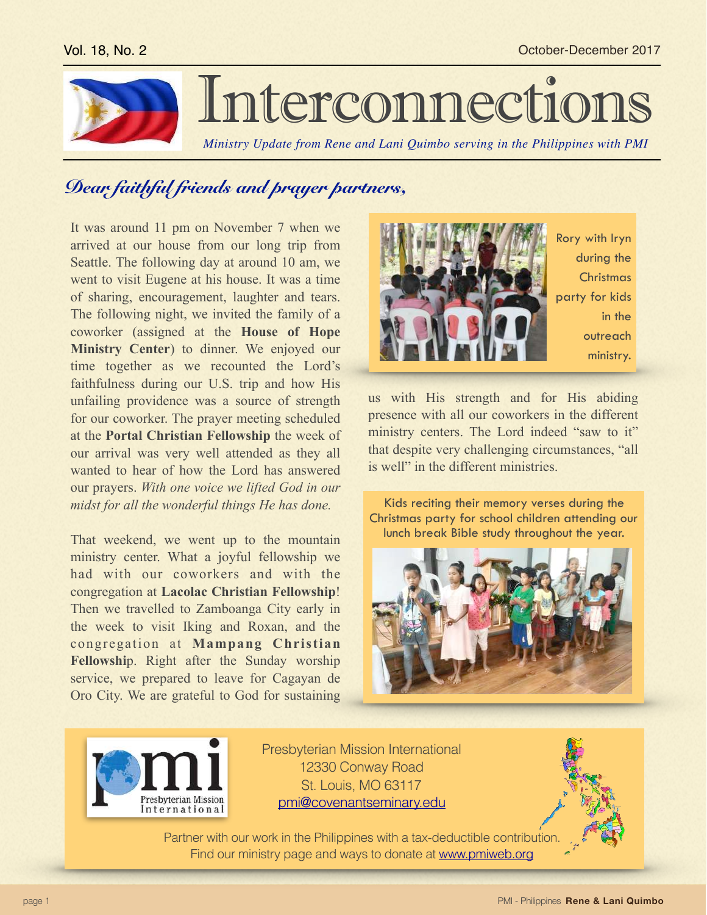

## Interconnections

*Ministry Update from Rene and Lani Quimbo serving in the Philippines with PMI*

## *Dear faithful friends and prayer partners,*

It was around 11 pm on November 7 when we arrived at our house from our long trip from Seattle. The following day at around 10 am, we went to visit Eugene at his house. It was a time of sharing, encouragement, laughter and tears. The following night, we invited the family of a coworker (assigned at the **House of Hope Ministry Center**) to dinner. We enjoyed our time together as we recounted the Lord's faithfulness during our U.S. trip and how His unfailing providence was a source of strength for our coworker. The prayer meeting scheduled at the **Portal Christian Fellowship** the week of our arrival was very well attended as they all wanted to hear of how the Lord has answered our prayers. *With one voice we lifted God in our midst for all the wonderful things He has done.* 

That weekend, we went up to the mountain ministry center. What a joyful fellowship we had with our coworkers and with the congregation at **Lacolac Christian Fellowship**! Then we travelled to Zamboanga City early in the week to visit Iking and Roxan, and the congregation at **Mampang Christian Fellowshi**p. Right after the Sunday worship service, we prepared to leave for Cagayan de Oro City. We are grateful to God for sustaining



during the **Christmas** party for kids in the outreach ministry.

us with His strength and for His abiding presence with all our coworkers in the different ministry centers. The Lord indeed "saw to it" that despite very challenging circumstances, "all is well" in the different ministries.

Kids reciting their memory verses during the Christmas party for school children attending our lunch break Bible study throughout the year.





Presbyterian Mission International 12330 Conway Road St. Louis, MO 63117 [pmi@covenantseminary.edu](mailto:pmi@covenantseminary.edu)



Partner with our work in the Philippines with a tax-deductible contribution. Find our ministry page and ways to donate at [www.pmiweb.org](http://www.pmiweb.org)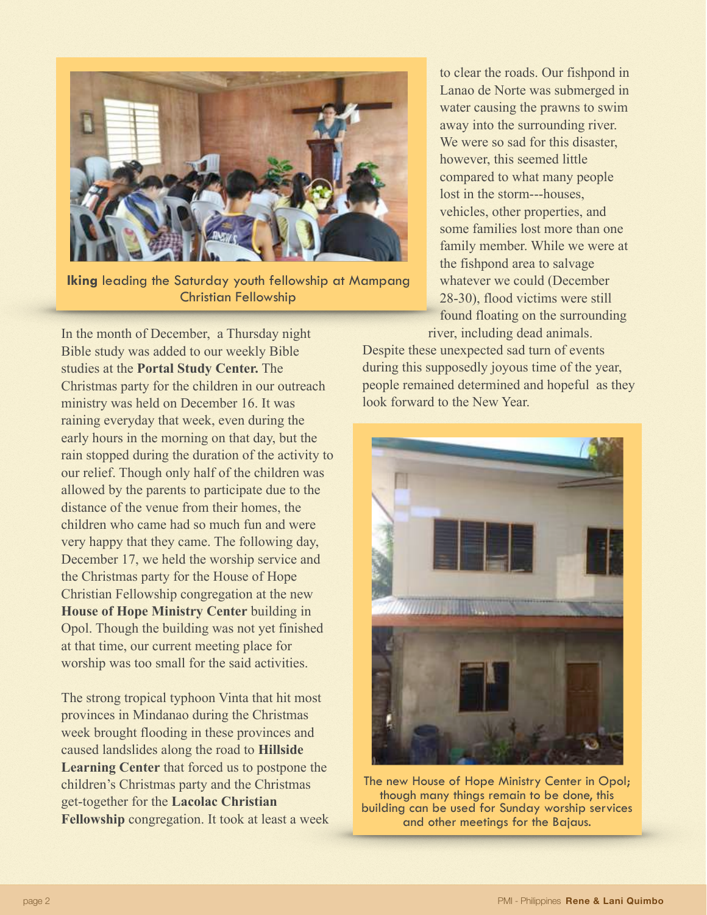

**Iking** leading the Saturday youth fellowship at Mampang Christian Fellowship

In the month of December, a Thursday night Bible study was added to our weekly Bible studies at the **Portal Study Center.** The Christmas party for the children in our outreach ministry was held on December 16. It was raining everyday that week, even during the early hours in the morning on that day, but the rain stopped during the duration of the activity to our relief. Though only half of the children was allowed by the parents to participate due to the distance of the venue from their homes, the children who came had so much fun and were very happy that they came. The following day, December 17, we held the worship service and the Christmas party for the House of Hope Christian Fellowship congregation at the new **House of Hope Ministry Center** building in Opol. Though the building was not yet finished at that time, our current meeting place for worship was too small for the said activities.

The strong tropical typhoon Vinta that hit most provinces in Mindanao during the Christmas week brought flooding in these provinces and caused landslides along the road to **Hillside Learning Center** that forced us to postpone the children's Christmas party and the Christmas get-together for the **Lacolac Christian Fellowship** congregation. It took at least a week

to clear the roads. Our fishpond in Lanao de Norte was submerged in water causing the prawns to swim away into the surrounding river. We were so sad for this disaster. however, this seemed little compared to what many people lost in the storm---houses, vehicles, other properties, and some families lost more than one family member. While we were at the fishpond area to salvage whatever we could (December 28-30), flood victims were still found floating on the surrounding river, including dead animals.

Despite these unexpected sad turn of events during this supposedly joyous time of the year, people remained determined and hopeful as they look forward to the New Year.



The new House of Hope Ministry Center in Opol; though many things remain to be done, this building can be used for Sunday worship services and other meetings for the Bajaus.